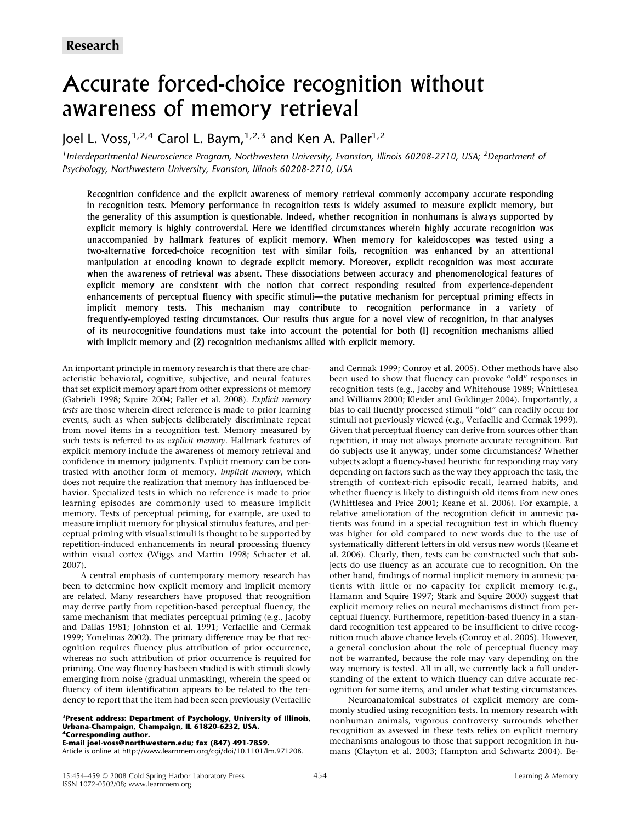# Accurate forced-choice recognition without awareness of memory retrieval

loel L. Voss,  $1,2,4$  Carol L. Baym,  $1,2,3$  and Ken A. Paller $1,2$ 

*1 Interdepartmental Neuroscience Program, Northwestern University, Evanston, Illinois 60208-2710, USA; <sup>2</sup> Department of Psychology, Northwestern University, Evanston, Illinois 60208-2710, USA*

Recognition confidence and the explicit awareness of memory retrieval commonly accompany accurate responding in recognition tests. Memory performance in recognition tests is widely assumed to measure explicit memory, but the generality of this assumption is questionable. Indeed, whether recognition in nonhumans is always supported by explicit memory is highly controversial. Here we identified circumstances wherein highly accurate recognition was unaccompanied by hallmark features of explicit memory. When memory for kaleidoscopes was tested using a two-alternative forced-choice recognition test with similar foils, recognition was enhanced by an attentional manipulation at encoding known to degrade explicit memory. Moreover, explicit recognition was most accurate when the awareness of retrieval was absent. These dissociations between accuracy and phenomenological features of explicit memory are consistent with the notion that correct responding resulted from experience-dependent enhancements of perceptual fluency with specific stimuli—the putative mechanism for perceptual priming effects in implicit memory tests. This mechanism may contribute to recognition performance in a variety of frequently-employed testing circumstances. Our results thus argue for a novel view of recognition, in that analyses of its neurocognitive foundations must take into account the potential for both (1) recognition mechanisms allied with implicit memory and (2) recognition mechanisms allied with explicit memory.

An important principle in memory research is that there are characteristic behavioral, cognitive, subjective, and neural features that set explicit memory apart from other expressions of memory (Gabrieli 1998; Squire 2004; Paller et al. 2008). *Explicit memory tests* are those wherein direct reference is made to prior learning events, such as when subjects deliberately discriminate repeat from novel items in a recognition test. Memory measured by such tests is referred to as *explicit memory*. Hallmark features of explicit memory include the awareness of memory retrieval and confidence in memory judgments. Explicit memory can be contrasted with another form of memory, *implicit memory*, which does not require the realization that memory has influenced behavior. Specialized tests in which no reference is made to prior learning episodes are commonly used to measure implicit memory. Tests of perceptual priming, for example, are used to measure implicit memory for physical stimulus features, and perceptual priming with visual stimuli is thought to be supported by repetition-induced enhancements in neural processing fluency within visual cortex (Wiggs and Martin 1998; Schacter et al. 2007).

A central emphasis of contemporary memory research has been to determine how explicit memory and implicit memory are related. Many researchers have proposed that recognition may derive partly from repetition-based perceptual fluency, the same mechanism that mediates perceptual priming (e.g., Jacoby and Dallas 1981; Johnston et al. 1991; Verfaellie and Cermak 1999; Yonelinas 2002). The primary difference may be that recognition requires fluency plus attribution of prior occurrence, whereas no such attribution of prior occurrence is required for priming. One way fluency has been studied is with stimuli slowly emerging from noise (gradual unmasking), wherein the speed or fluency of item identification appears to be related to the tendency to report that the item had been seen previously (Verfaellie

#### 3 **Present address: Department of Psychology, University of Illinois, Urbana-Champaign, Champaign, IL 61820-6232, USA. 4Corresponding author.**

**E-mail joel-voss@northwestern.edu; fax (847) 491-7859.**

Article is online at http://www.learnmem.org/cgi/doi/10.1101/lm.971208.

and Cermak 1999; Conroy et al. 2005). Other methods have also been used to show that fluency can provoke "old" responses in recognition tests (e.g., Jacoby and Whitehouse 1989; Whittlesea and Williams 2000; Kleider and Goldinger 2004). Importantly, a bias to call fluently processed stimuli "old" can readily occur for stimuli not previously viewed (e.g., Verfaellie and Cermak 1999). Given that perceptual fluency can derive from sources other than repetition, it may not always promote accurate recognition. But do subjects use it anyway, under some circumstances? Whether subjects adopt a fluency-based heuristic for responding may vary depending on factors such as the way they approach the task, the strength of context-rich episodic recall, learned habits, and whether fluency is likely to distinguish old items from new ones (Whittlesea and Price 2001; Keane et al. 2006). For example, a relative amelioration of the recognition deficit in amnesic patients was found in a special recognition test in which fluency was higher for old compared to new words due to the use of systematically different letters in old versus new words (Keane et al. 2006). Clearly, then, tests can be constructed such that subjects do use fluency as an accurate cue to recognition. On the other hand, findings of normal implicit memory in amnesic patients with little or no capacity for explicit memory (e.g., Hamann and Squire 1997; Stark and Squire 2000) suggest that explicit memory relies on neural mechanisms distinct from perceptual fluency. Furthermore, repetition-based fluency in a standard recognition test appeared to be insufficient to drive recognition much above chance levels (Conroy et al. 2005). However, a general conclusion about the role of perceptual fluency may not be warranted, because the role may vary depending on the way memory is tested. All in all, we currently lack a full understanding of the extent to which fluency can drive accurate recognition for some items, and under what testing circumstances.

Neuroanatomical substrates of explicit memory are commonly studied using recognition tests. In memory research with nonhuman animals, vigorous controversy surrounds whether recognition as assessed in these tests relies on explicit memory mechanisms analogous to those that support recognition in humans (Clayton et al. 2003; Hampton and Schwartz 2004). Be-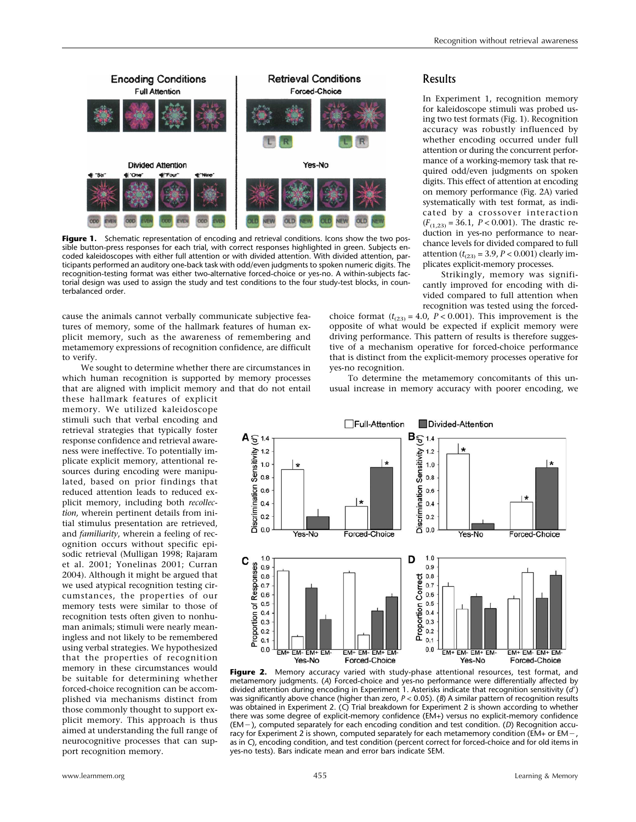

**Figure 1.** Schematic representation of encoding and retrieval conditions. Icons show the two possible button-press responses for each trial, with correct responses highlighted in green. Subjects encoded kaleidoscopes with either full attention or with divided attention. With divided attention, participants performed an auditory one-back task with odd/even judgments to spoken numeric digits. The recognition-testing format was either two-alternative forced-choice or yes-no. A within-subjects factorial design was used to assign the study and test conditions to the four study-test blocks, in counterbalanced order.

cause the animals cannot verbally communicate subjective features of memory, some of the hallmark features of human explicit memory, such as the awareness of remembering and metamemory expressions of recognition confidence, are difficult to verify.

We sought to determine whether there are circumstances in which human recognition is supported by memory processes that are aligned with implicit memory and that do not entail

these hallmark features of explicit memory. We utilized kaleidoscope stimuli such that verbal encoding and retrieval strategies that typically foster response confidence and retrieval awareness were ineffective. To potentially implicate explicit memory, attentional resources during encoding were manipulated, based on prior findings that reduced attention leads to reduced explicit memory, including both *recollection,* wherein pertinent details from initial stimulus presentation are retrieved, and *familiarity*, wherein a feeling of recognition occurs without specific episodic retrieval (Mulligan 1998; Rajaram et al. 2001; Yonelinas 2001; Curran 2004). Although it might be argued that we used atypical recognition testing circumstances, the properties of our memory tests were similar to those of recognition tests often given to nonhuman animals; stimuli were nearly meaningless and not likely to be remembered using verbal strategies. We hypothesized that the properties of recognition memory in these circumstances would be suitable for determining whether forced-choice recognition can be accomplished via mechanisms distinct from those commonly thought to support explicit memory. This approach is thus aimed at understanding the full range of neurocognitive processes that can support recognition memory.

# Results

In Experiment 1, recognition memory for kaleidoscope stimuli was probed using two test formats (Fig. 1). Recognition accuracy was robustly influenced by whether encoding occurred under full attention or during the concurrent performance of a working-memory task that required odd/even judgments on spoken digits. This effect of attention at encoding on memory performance (Fig. 2A) varied systematically with test format, as indicated by a crossover interaction  $(F_{(1,23)} = 36.1, P < 0.001)$ . The drastic reduction in yes-no performance to nearchance levels for divided compared to full attention  $(t_{(2,3)} = 3.9, P < 0.001)$  clearly implicates explicit-memory processes.

Strikingly, memory was significantly improved for encoding with divided compared to full attention when recognition was tested using the forced-

choice format  $(t<sub>(23)</sub> = 4.0, P < 0.001)$ . This improvement is the opposite of what would be expected if explicit memory were driving performance. This pattern of results is therefore suggestive of a mechanism operative for forced-choice performance that is distinct from the explicit-memory processes operative for yes-no recognition.

To determine the metamemory concomitants of this unusual increase in memory accuracy with poorer encoding, we



Figure 2. Memory accuracy varied with study-phase attentional resources, test format, and metamemory judgments. (*A*) Forced-choice and yes-no performance were differentially affected by divided attention during encoding in Experiment 1. Asterisks indicate that recognition sensitivity (*d*) was significantly above chance (higher than zero, *P* < 0.05). (*B*) A similar pattern of recognition results was obtained in Experiment 2. (*C*) Trial breakdown for Experiment 2 is shown according to whether there was some degree of explicit-memory confidence (EM+) versus no explicit-memory confidence (EM-), computed separately for each encoding condition and test condition. (*D*) Recognition accuracy for Experiment 2 is shown, computed separately for each metamemory condition (EM+ or EM-, as in *C*), encoding condition, and test condition (percent correct for forced-choice and for old items in yes-no tests). Bars indicate mean and error bars indicate SEM.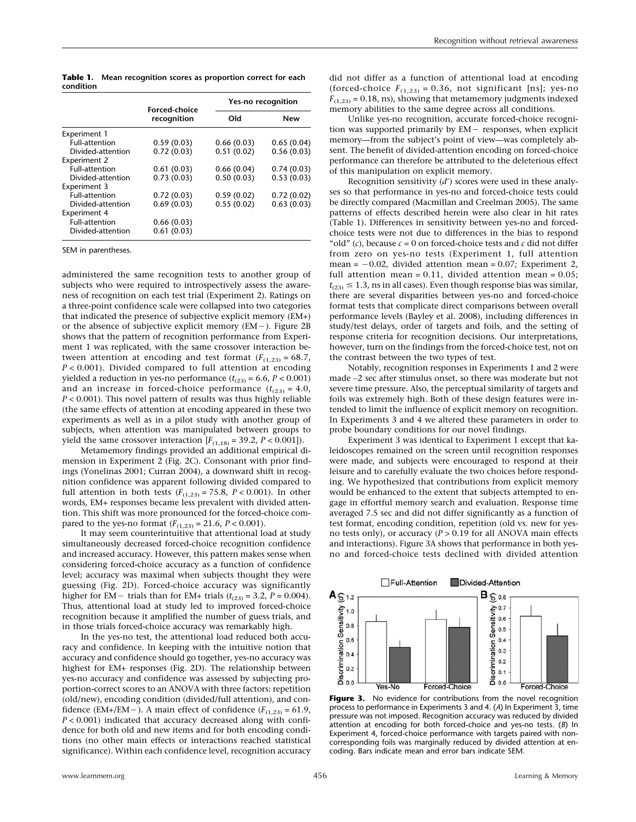**Table 1. Mean recognition scores as proportion correct for each condition**

|                       | <b>Forced-choice</b><br>recognition | Yes-no recognition |            |
|-----------------------|-------------------------------------|--------------------|------------|
|                       |                                     | Old                | New        |
| Experiment 1          |                                     |                    |            |
| <b>Full-attention</b> | 0.59(0.03)                          | 0.66(0.03)         | 0.65(0.04) |
| Divided-attention     | 0.72(0.03)                          | 0.51(0.02)         | 0.56(0.03) |
| Experiment 2          |                                     |                    |            |
| Full-attention        | 0.61(0.03)                          | 0.66(0.04)         | 0.74(0.03) |
| Divided-attention     | 0.73(0.03)                          | 0.50(0.03)         | 0.53(0.03) |
| Experiment 3          |                                     |                    |            |
| <b>Full-attention</b> | 0.72(0.03)                          | 0.59(0.02)         | 0.72(0.02) |
| Divided-attention     | 0.69(0.03)                          | 0.55(0.02)         | 0.63(0.03) |
| <b>Experiment 4</b>   |                                     |                    |            |
| <b>Full-attention</b> | 0.66(0.03)                          |                    |            |
| Divided-attention     | 0.61(0.03)                          |                    |            |

SEM in parentheses.

administered the same recognition tests to another group of subjects who were required to introspectively assess the awareness of recognition on each test trial (Experiment 2). Ratings on a three-point confidence scale were collapsed into two categories that indicated the presence of subjective explicit memory (EM+) or the absence of subjective explicit memory (EM-). Figure 2B shows that the pattern of recognition performance from Experiment 1 was replicated, with the same crossover interaction between attention at encoding and test format  $(F_{(1,23)} = 68.7)$ , *P* < 0.001). Divided compared to full attention at encoding yielded a reduction in yes-no performance  $(t_{(23)} = 6.6, P < 0.001)$ and an increase in forced-choice performance  $(t_{(23)} = 4.0)$ , *P* < 0.001). This novel pattern of results was thus highly reliable (the same effects of attention at encoding appeared in these two experiments as well as in a pilot study with another group of subjects, when attention was manipulated between groups to yield the same crossover interaction  $[F_{(1,18)} = 39.2, P < 0.001]$ ).

Metamemory findings provided an additional empirical dimension in Experiment 2 (Fig. 2C). Consonant with prior findings (Yonelinas 2001; Curran 2004), a downward shift in recognition confidence was apparent following divided compared to full attention in both tests  $(F_{(1,23)} = 75.8, P < 0.001)$ . In other words, EM+ responses became less prevalent with divided attention. This shift was more pronounced for the forced-choice compared to the yes-no format  $(F_{(1,23)} = 21.6, P < 0.001)$ .

It may seem counterintuitive that attentional load at study simultaneously decreased forced-choice recognition confidence and increased accuracy. However, this pattern makes sense when considering forced-choice accuracy as a function of confidence level; accuracy was maximal when subjects thought they were guessing (Fig. 2D). Forced-choice accuracy was significantly higher for EM – trials than for EM+ trials  $(t_{(23)} = 3.2, P = 0.004)$ . Thus, attentional load at study led to improved forced-choice recognition because it amplified the number of guess trials, and in those trials forced-choice accuracy was remarkably high.

In the yes-no test, the attentional load reduced both accuracy and confidence. In keeping with the intuitive notion that accuracy and confidence should go together, yes-no accuracy was highest for EM+ responses (Fig. 2D). The relationship between yes-no accuracy and confidence was assessed by subjecting proportion-correct scores to an ANOVA with three factors: repetition (old/new), encoding condition (divided/full attention), and confidence (EM+/EM –). A main effect of confidence ( $F_{(1,23)} = 61.9$ , *P* < 0.001) indicated that accuracy decreased along with confidence for both old and new items and for both encoding conditions (no other main effects or interactions reached statistical significance). Within each confidence level, recognition accuracy

did not differ as a function of attentional load at encoding (forced-choice  $F_{(1,23)} = 0.36$ , not significant [ns]; yes-no  $F_{(1,23)} = 0.18$ , ns), showing that metamemory judgments indexed memory abilities to the same degree across all conditions.

Unlike yes-no recognition, accurate forced-choice recognition was supported primarily by EM- responses, when explicit memory—from the subject's point of view—was completely absent. The benefit of divided-attention encoding on forced-choice performance can therefore be attributed to the deleterious effect of this manipulation on explicit memory.

Recognition sensitivity (d') scores were used in these analyses so that performance in yes-no and forced-choice tests could be directly compared (Macmillan and Creelman 2005). The same patterns of effects described herein were also clear in hit rates (Table 1). Differences in sensitivity between yes-no and forcedchoice tests were not due to differences in the bias to respond "old"  $(c)$ , because  $c = 0$  on forced-choice tests and  $c$  did not differ from zero on yes-no tests (Experiment 1, full attention mean = -0.02, divided attention mean = 0.07; Experiment 2, full attention mean =  $0.11$ , divided attention mean =  $0.05$ ;  $t_{(23)} \leq 1.3$ , ns in all cases). Even though response bias was similar, there are several disparities between yes-no and forced-choice format tests that complicate direct comparisons between overall performance levels (Bayley et al. 2008), including differences in study/test delays, order of targets and foils, and the setting of response criteria for recognition decisions. Our interpretations, however, turn on the findings from the forced-choice test, not on the contrast between the two types of test.

Notably, recognition responses in Experiments 1 and 2 were made ∼2 sec after stimulus onset, so there was moderate but not severe time pressure. Also, the perceptual similarity of targets and foils was extremely high. Both of these design features were intended to limit the influence of explicit memory on recognition. In Experiments 3 and 4 we altered these parameters in order to probe boundary conditions for our novel findings.

Experiment 3 was identical to Experiment 1 except that kaleidoscopes remained on the screen until recognition responses were made, and subjects were encouraged to respond at their leisure and to carefully evaluate the two choices before responding. We hypothesized that contributions from explicit memory would be enhanced to the extent that subjects attempted to engage in effortful memory search and evaluation. Response time averaged 7.5 sec and did not differ significantly as a function of test format, encoding condition, repetition (old vs. new for yesno tests only), or accuracy (*P* > 0.19 for all ANOVA main effects and interactions). Figure 3A shows that performance in both yesno and forced-choice tests declined with divided attention



**Figure 3.** No evidence for contributions from the novel recognition process to performance in Experiments 3 and 4. (*A*) In Experiment 3, time pressure was not imposed. Recognition accuracy was reduced by divided attention at encoding for both forced-choice and yes-no tests. (*B*) In Experiment 4, forced-choice performance with targets paired with noncorresponding foils was marginally reduced by divided attention at encoding. Bars indicate mean and error bars indicate SEM*.*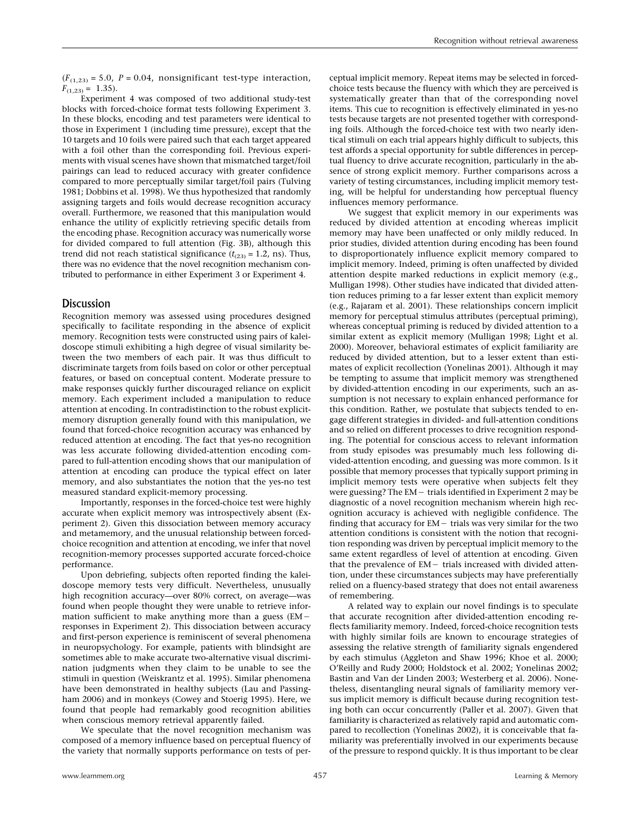$(F_{(1,23)} = 5.0, P = 0.04,$  nonsignificant test-type interaction,  $F_{(1,23)} = 1.35$ .

Experiment 4 was composed of two additional study-test blocks with forced-choice format tests following Experiment 3. In these blocks, encoding and test parameters were identical to those in Experiment 1 (including time pressure), except that the 10 targets and 10 foils were paired such that each target appeared with a foil other than the corresponding foil. Previous experiments with visual scenes have shown that mismatched target/foil pairings can lead to reduced accuracy with greater confidence compared to more perceptually similar target/foil pairs (Tulving 1981; Dobbins et al. 1998). We thus hypothesized that randomly assigning targets and foils would decrease recognition accuracy overall. Furthermore, we reasoned that this manipulation would enhance the utility of explicitly retrieving specific details from the encoding phase. Recognition accuracy was numerically worse for divided compared to full attention (Fig. 3B), although this trend did not reach statistical significance  $(t<sub>(23)</sub> = 1.2, ns)$ . Thus, there was no evidence that the novel recognition mechanism contributed to performance in either Experiment 3 or Experiment 4.

# **Discussion**

Recognition memory was assessed using procedures designed specifically to facilitate responding in the absence of explicit memory. Recognition tests were constructed using pairs of kaleidoscope stimuli exhibiting a high degree of visual similarity between the two members of each pair. It was thus difficult to discriminate targets from foils based on color or other perceptual features, or based on conceptual content. Moderate pressure to make responses quickly further discouraged reliance on explicit memory. Each experiment included a manipulation to reduce attention at encoding. In contradistinction to the robust explicitmemory disruption generally found with this manipulation, we found that forced-choice recognition accuracy was enhanced by reduced attention at encoding. The fact that yes-no recognition was less accurate following divided-attention encoding compared to full-attention encoding shows that our manipulation of attention at encoding can produce the typical effect on later memory, and also substantiates the notion that the yes-no test measured standard explicit-memory processing.

Importantly, responses in the forced-choice test were highly accurate when explicit memory was introspectively absent (Experiment 2). Given this dissociation between memory accuracy and metamemory, and the unusual relationship between forcedchoice recognition and attention at encoding, we infer that novel recognition-memory processes supported accurate forced-choice performance.

Upon debriefing, subjects often reported finding the kaleidoscope memory tests very difficult. Nevertheless, unusually high recognition accuracy—over 80% correct, on average—was found when people thought they were unable to retrieve information sufficient to make anything more than a guess (EM responses in Experiment 2). This dissociation between accuracy and first-person experience is reminiscent of several phenomena in neuropsychology. For example, patients with blindsight are sometimes able to make accurate two-alternative visual discrimination judgments when they claim to be unable to see the stimuli in question (Weiskrantz et al. 1995). Similar phenomena have been demonstrated in healthy subjects (Lau and Passingham 2006) and in monkeys (Cowey and Stoerig 1995). Here, we found that people had remarkably good recognition abilities when conscious memory retrieval apparently failed.

We speculate that the novel recognition mechanism was composed of a memory influence based on perceptual fluency of the variety that normally supports performance on tests of perceptual implicit memory. Repeat items may be selected in forcedchoice tests because the fluency with which they are perceived is systematically greater than that of the corresponding novel items. This cue to recognition is effectively eliminated in yes-no tests because targets are not presented together with corresponding foils. Although the forced-choice test with two nearly identical stimuli on each trial appears highly difficult to subjects, this test affords a special opportunity for subtle differences in perceptual fluency to drive accurate recognition, particularly in the absence of strong explicit memory. Further comparisons across a variety of testing circumstances, including implicit memory testing, will be helpful for understanding how perceptual fluency influences memory performance.

We suggest that explicit memory in our experiments was reduced by divided attention at encoding whereas implicit memory may have been unaffected or only mildly reduced. In prior studies, divided attention during encoding has been found to disproportionately influence explicit memory compared to implicit memory. Indeed, priming is often unaffected by divided attention despite marked reductions in explicit memory (e.g., Mulligan 1998). Other studies have indicated that divided attention reduces priming to a far lesser extent than explicit memory (e.g., Rajaram et al. 2001). These relationships concern implicit memory for perceptual stimulus attributes (perceptual priming), whereas conceptual priming is reduced by divided attention to a similar extent as explicit memory (Mulligan 1998; Light et al. 2000). Moreover, behavioral estimates of explicit familiarity are reduced by divided attention, but to a lesser extent than estimates of explicit recollection (Yonelinas 2001). Although it may be tempting to assume that implicit memory was strengthened by divided-attention encoding in our experiments, such an assumption is not necessary to explain enhanced performance for this condition. Rather, we postulate that subjects tended to engage different strategies in divided- and full-attention conditions and so relied on different processes to drive recognition responding. The potential for conscious access to relevant information from study episodes was presumably much less following divided-attention encoding, and guessing was more common. Is it possible that memory processes that typically support priming in implicit memory tests were operative when subjects felt they were guessing? The EM- trials identified in Experiment 2 may be diagnostic of a novel recognition mechanism wherein high recognition accuracy is achieved with negligible confidence. The finding that accuracy for EM  $-$  trials was very similar for the two attention conditions is consistent with the notion that recognition responding was driven by perceptual implicit memory to the same extent regardless of level of attention at encoding. Given that the prevalence of EM – trials increased with divided attention, under these circumstances subjects may have preferentially relied on a fluency-based strategy that does not entail awareness of remembering.

A related way to explain our novel findings is to speculate that accurate recognition after divided-attention encoding reflects familiarity memory. Indeed, forced-choice recognition tests with highly similar foils are known to encourage strategies of assessing the relative strength of familiarity signals engendered by each stimulus (Aggleton and Shaw 1996; Khoe et al. 2000; O'Reilly and Rudy 2000; Holdstock et al. 2002; Yonelinas 2002; Bastin and Van der Linden 2003; Westerberg et al. 2006). Nonetheless, disentangling neural signals of familiarity memory versus implicit memory is difficult because during recognition testing both can occur concurrently (Paller et al. 2007). Given that familiarity is characterized as relatively rapid and automatic compared to recollection (Yonelinas 2002), it is conceivable that familiarity was preferentially involved in our experiments because of the pressure to respond quickly. It is thus important to be clear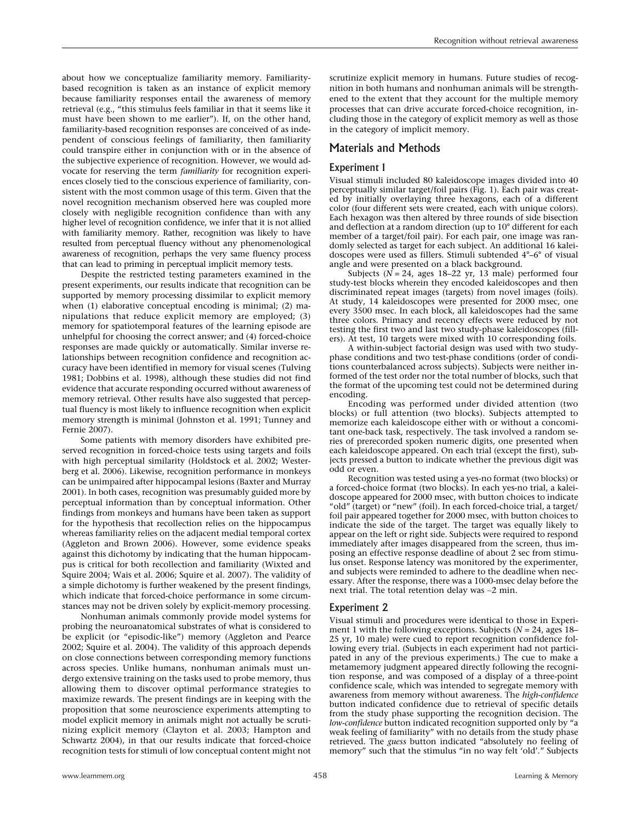about how we conceptualize familiarity memory. Familiaritybased recognition is taken as an instance of explicit memory because familiarity responses entail the awareness of memory retrieval (e.g., "this stimulus feels familiar in that it seems like it must have been shown to me earlier"). If, on the other hand, familiarity-based recognition responses are conceived of as independent of conscious feelings of familiarity, then familiarity could transpire either in conjunction with or in the absence of the subjective experience of recognition. However, we would advocate for reserving the term *familiarity* for recognition experiences closely tied to the conscious experience of familiarity, consistent with the most common usage of this term. Given that the novel recognition mechanism observed here was coupled more closely with negligible recognition confidence than with any higher level of recognition confidence, we infer that it is not allied with familiarity memory. Rather, recognition was likely to have resulted from perceptual fluency without any phenomenological awareness of recognition, perhaps the very same fluency process that can lead to priming in perceptual implicit memory tests.

Despite the restricted testing parameters examined in the present experiments, our results indicate that recognition can be supported by memory processing dissimilar to explicit memory when (1) elaborative conceptual encoding is minimal; (2) manipulations that reduce explicit memory are employed; (3) memory for spatiotemporal features of the learning episode are unhelpful for choosing the correct answer; and (4) forced-choice responses are made quickly or automatically. Similar inverse relationships between recognition confidence and recognition accuracy have been identified in memory for visual scenes (Tulving 1981; Dobbins et al. 1998), although these studies did not find evidence that accurate responding occurred without awareness of memory retrieval. Other results have also suggested that perceptual fluency is most likely to influence recognition when explicit memory strength is minimal (Johnston et al. 1991; Tunney and Fernie 2007).

Some patients with memory disorders have exhibited preserved recognition in forced-choice tests using targets and foils with high perceptual similarity (Holdstock et al. 2002; Westerberg et al. 2006). Likewise, recognition performance in monkeys can be unimpaired after hippocampal lesions (Baxter and Murray 2001). In both cases, recognition was presumably guided more by perceptual information than by conceptual information. Other findings from monkeys and humans have been taken as support for the hypothesis that recollection relies on the hippocampus whereas familiarity relies on the adjacent medial temporal cortex (Aggleton and Brown 2006). However, some evidence speaks against this dichotomy by indicating that the human hippocampus is critical for both recollection and familiarity (Wixted and Squire 2004; Wais et al. 2006; Squire et al. 2007). The validity of a simple dichotomy is further weakened by the present findings, which indicate that forced-choice performance in some circumstances may not be driven solely by explicit-memory processing.

Nonhuman animals commonly provide model systems for probing the neuroanatomical substrates of what is considered to be explicit (or "episodic-like") memory (Aggleton and Pearce 2002; Squire et al. 2004). The validity of this approach depends on close connections between corresponding memory functions across species. Unlike humans, nonhuman animals must undergo extensive training on the tasks used to probe memory, thus allowing them to discover optimal performance strategies to maximize rewards. The present findings are in keeping with the proposition that some neuroscience experiments attempting to model explicit memory in animals might not actually be scrutinizing explicit memory (Clayton et al. 2003; Hampton and Schwartz 2004), in that our results indicate that forced-choice recognition tests for stimuli of low conceptual content might not scrutinize explicit memory in humans. Future studies of recognition in both humans and nonhuman animals will be strengthened to the extent that they account for the multiple memory processes that can drive accurate forced-choice recognition, including those in the category of explicit memory as well as those in the category of implicit memory.

# Materials and Methods

### Experiment 1

Visual stimuli included 80 kaleidoscope images divided into 40 perceptually similar target/foil pairs (Fig. 1). Each pair was created by initially overlaying three hexagons, each of a different color (four different sets were created, each with unique colors). Each hexagon was then altered by three rounds of side bisection and deflection at a random direction (up to 10° different for each member of a target/foil pair). For each pair, one image was randomly selected as target for each subject. An additional 16 kaleidoscopes were used as fillers. Stimuli subtended 4°–6° of visual angle and were presented on a black background.

Subjects ( $N = 24$ , ages 18–22 yr, 13 male) performed four study-test blocks wherein they encoded kaleidoscopes and then discriminated repeat images (targets) from novel images (foils). At study, 14 kaleidoscopes were presented for 2000 msec, one every 3500 msec. In each block, all kaleidoscopes had the same three colors. Primacy and recency effects were reduced by not testing the first two and last two study-phase kaleidoscopes (fillers). At test, 10 targets were mixed with 10 corresponding foils.

A within-subject factorial design was used with two studyphase conditions and two test-phase conditions (order of conditions counterbalanced across subjects). Subjects were neither informed of the test order nor the total number of blocks, such that the format of the upcoming test could not be determined during encoding.

Encoding was performed under divided attention (two blocks) or full attention (two blocks). Subjects attempted to memorize each kaleidoscope either with or without a concomitant one-back task, respectively. The task involved a random series of prerecorded spoken numeric digits, one presented when each kaleidoscope appeared. On each trial (except the first), subjects pressed a button to indicate whether the previous digit was odd or even.

Recognition was tested using a yes-no format (two blocks) or a forced-choice format (two blocks). In each yes-no trial, a kaleidoscope appeared for 2000 msec, with button choices to indicate "old" (target) or "new" (foil). In each forced-choice trial, a target/ foil pair appeared together for 2000 msec, with button choices to indicate the side of the target. The target was equally likely to appear on the left or right side. Subjects were required to respond immediately after images disappeared from the screen, thus imposing an effective response deadline of about 2 sec from stimulus onset. Response latency was monitored by the experimenter, and subjects were reminded to adhere to the deadline when necessary. After the response, there was a 1000-msec delay before the next trial. The total retention delay was ∼2 min.

## Experiment 2

Visual stimuli and procedures were identical to those in Experiment 1 with the following exceptions. Subjects (*N* = 24, ages 18– 25 yr, 10 male) were cued to report recognition confidence following every trial. (Subjects in each experiment had not participated in any of the previous experiments.) The cue to make a metamemory judgment appeared directly following the recognition response, and was composed of a display of a three-point confidence scale, which was intended to segregate memory with awareness from memory without awareness. The *high-confidence* button indicated confidence due to retrieval of specific details from the study phase supporting the recognition decision. The *low-confidence* button indicated recognition supported only by "a weak feeling of familiarity" with no details from the study phase retrieved. The *guess* button indicated "absolutely no feeling of memory" such that the stimulus "in no way felt 'old'." Subjects